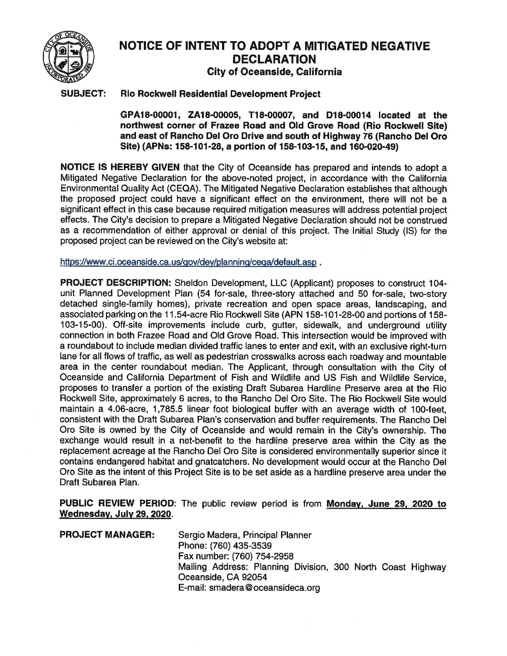

## **NOTICE OF INTENT TO ADOPT A MITIGATED NEGATIVE DECLARATION City of Oceanside, California**

## **SUBJECT: Rio Rockwell Residential Development Project**

**GPA18-00001, ZA18-00005, T18-00007, and D18-00014 located at the northwest corner of Frazee Road and Old Grove Road (Rio Rockwell Site) and east of Rancho Del Oro Drive and south of Highway 76 (Rancho Del Oro Site) (APNs: 158-101-28, a portion of 158-103-15, and 160-020-49)** 

**NOTICE IS HEREBY GIVEN** that the City of Oceanside has prepared and intends to adopt a Mitigated Negative Declaration for the above-noted project, in accordance with the California Environmental Quality Act (CEQA). The Mitigated Negative Declaration establishes that although the proposed project could have a significant effect on the environment, there will not be a significant effect in this case because required mitigation measures will address potential project effects. The City's decision to prepare a Mitigated Negative Declaration should not be construed as a recommendation of either approval or denial of this project. The Initial Study (IS) for the proposed project can be reviewed on the City's website at:

https://www.ci.oceanside.ca.us/gov/dev/planning/cega/default.asp .

**PROJECT DESCRIPTION:** Sheldon Development, LLC (Applicant) proposes to construct 104 unit Planned Development Plan (54 for-sale, three-story attached and 50 for-sale, two-story detached single-family homes), private recreation and open space areas, landscaping, and associated parking on the 11.54-acre Rio Rockwell Site (APN 158-101-28-00 and portions of 158- 103-15-00). Off-site improvements include curb, gutter, sidewalk, and underground utility connection in both Frazee Road and Old Grove Road. This intersection would be improved with a roundabout to include median divided traffic lanes to enter and exit, with an exclusive right-turn lane for all flows of traffic, as well as pedestrian crosswalks across each roadway and mountable area in the center roundabout median. The Applicant, through consultation with the City of Oceanside and California Department of Fish and Wildlife and US Fish and Wildlife Service, proposes to transfer a portion of the existing Draft Subarea Hardline Preserve area at the Rio Rockwell Site, approximately 6 acres, to the Rancho Del Oro Site. The Rio Rockwell Site would maintain a 4.06-acre, 1,785.5 linear foot biological buffer with an average width of 100-feet, consistent with the Draft Subarea Plan's conservation and buffer requirements. The Rancho Del Oro Site is owned by the City of Oceanside and would remain in the City's ownership. The exchange would result in a net-benefit to the hardline preserve area within the City as the replacement acreage at the Rancho Del Oro Site is considered environmentally superior since it contains endangered habitat and gnatcatchers. No development would occur at the Rancho Del Oro Site as the intent of this Project Site is to be set aside as a hardline preserve area under the Draft Subarea Plan.

**PUBLIC REVIEW PERIOD:** The public review period is from **Monday, June 29, 2020 to Wednesday, July 29, 2020.** 

**PROJECT MANAGER:** Sergio Madera, Principal Planner Phone: (760) 435-3539 Fax number: (760) 754-2958 Mailing Address: Planning Division, 300 North Coast Highway Oceanside, CA 92054 E-mail: smadera@oceansideca.org